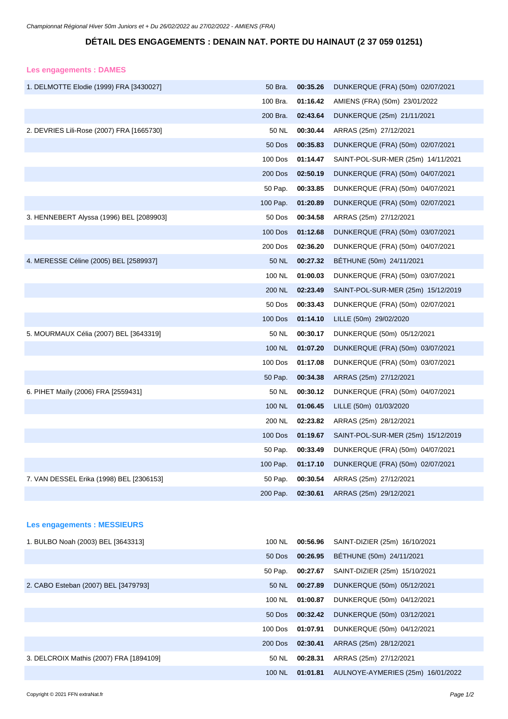## **DÉTAIL DES ENGAGEMENTS : DENAIN NAT. PORTE DU HAINAUT (2 37 059 01251)**

## **Les engagements : DAMES**

| 1. DELMOTTE Elodie (1999) FRA [3430027]   | 50 Bra.        | 00:35.26 | DUNKERQUE (FRA) (50m) 02/07/2021   |
|-------------------------------------------|----------------|----------|------------------------------------|
|                                           | 100 Bra.       | 01:16.42 | AMIENS (FRA) (50m) 23/01/2022      |
|                                           | 200 Bra.       | 02:43.64 | DUNKERQUE (25m) 21/11/2021         |
| 2. DEVRIES Lili-Rose (2007) FRA [1665730] | 50 NL          | 00:30.44 | ARRAS (25m) 27/12/2021             |
|                                           | 50 Dos         | 00:35.83 | DUNKERQUE (FRA) (50m) 02/07/2021   |
|                                           | 100 Dos        | 01:14.47 | SAINT-POL-SUR-MER (25m) 14/11/2021 |
|                                           | <b>200 Dos</b> | 02:50.19 | DUNKERQUE (FRA) (50m) 04/07/2021   |
|                                           | 50 Pap.        | 00:33.85 | DUNKERQUE (FRA) (50m) 04/07/2021   |
|                                           | 100 Pap.       | 01:20.89 | DUNKERQUE (FRA) (50m) 02/07/2021   |
| 3. HENNEBERT Alyssa (1996) BEL [2089903]  | 50 Dos         | 00:34.58 | ARRAS (25m) 27/12/2021             |
|                                           | <b>100 Dos</b> | 01:12.68 | DUNKERQUE (FRA) (50m) 03/07/2021   |
|                                           | 200 Dos        | 02:36.20 | DUNKERQUE (FRA) (50m) 04/07/2021   |
| 4. MERESSE Céline (2005) BEL [2589937]    | 50 NL          | 00:27.32 | BETHUNE (50m) 24/11/2021           |
|                                           | 100 NL         | 01:00.03 | DUNKERQUE (FRA) (50m) 03/07/2021   |
|                                           | <b>200 NL</b>  | 02:23.49 | SAINT-POL-SUR-MER (25m) 15/12/2019 |
|                                           | 50 Dos         | 00:33.43 | DUNKERQUE (FRA) (50m) 02/07/2021   |
|                                           | 100 Dos        | 01:14.10 | LILLE (50m) 29/02/2020             |
| 5. MOURMAUX Célia (2007) BEL [3643319]    | 50 NL          | 00:30.17 | DUNKERQUE (50m) 05/12/2021         |
|                                           | 100 NL         | 01:07.20 | DUNKERQUE (FRA) (50m) 03/07/2021   |
|                                           | 100 Dos        | 01:17.08 | DUNKERQUE (FRA) (50m) 03/07/2021   |
|                                           | 50 Pap.        | 00:34.38 | ARRAS (25m) 27/12/2021             |
| 6. PIHET Maïly (2006) FRA [2559431]       | 50 NL          | 00:30.12 | DUNKERQUE (FRA) (50m) 04/07/2021   |
|                                           | 100 NL         | 01:06.45 | LILLE (50m) 01/03/2020             |
|                                           | 200 NL         | 02:23.82 | ARRAS (25m) 28/12/2021             |
|                                           | <b>100 Dos</b> | 01:19.67 | SAINT-POL-SUR-MER (25m) 15/12/2019 |
|                                           | 50 Pap.        | 00:33.49 | DUNKERQUE (FRA) (50m) 04/07/2021   |
|                                           | 100 Pap.       | 01:17.10 | DUNKERQUE (FRA) (50m) 02/07/2021   |
| 7. VAN DESSEL Erika (1998) BEL [2306153]  | 50 Pap.        | 00:30.54 | ARRAS (25m) 27/12/2021             |
|                                           | 200 Pap.       | 02:30.61 | ARRAS (25m) 29/12/2021             |
|                                           |                |          |                                    |
| <b>Les engagements : MESSIEURS</b>        |                |          |                                    |
| 1. BULBO Noah (2003) BEL [3643313]        | 100 NL         | 00:56.96 | SAINT-DIZIER (25m) 16/10/2021      |
|                                           | 50 Dos         | 00:26.95 | BÉTHUNE (50m) 24/11/2021           |
|                                           | 50 Pap.        | 00:27.67 | SAINT-DIZIER (25m) 15/10/2021      |
| 2. CABO Esteban (2007) BEL [3479793]      | 50 NL          | 00:27.89 | DUNKERQUE (50m) 05/12/2021         |

3. DELCROIX Mathis (2007) FRA [1894109] 50 NL **00:28.31** ARRAS (25m) 27/12/2021

100 NL **01:00.87** DUNKERQUE (50m) 04/12/2021 50 Dos **00:32.42** DUNKERQUE (50m) 03/12/2021 100 Dos **01:07.91** DUNKERQUE (50m) 04/12/2021

100 NL **01:01.81** AULNOYE-AYMERIES (25m) 16/01/2022

200 Dos **02:30.41** ARRAS (25m) 28/12/2021